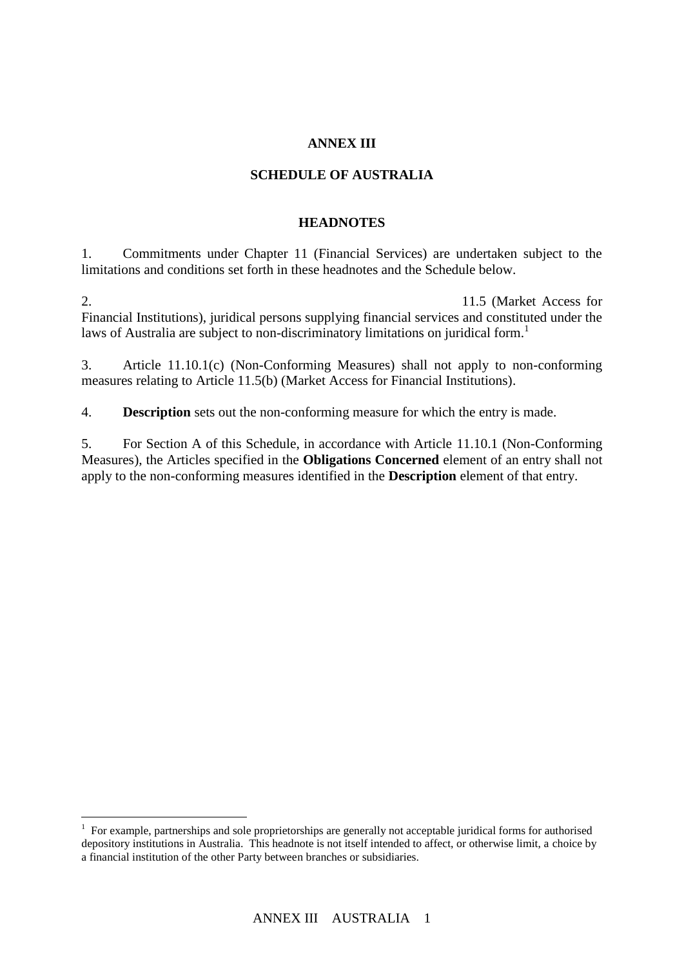## **ANNEX III**

## **SCHEDULE OF AUSTRALIA**

#### **HEADNOTES**

1. Commitments under Chapter 11 (Financial Services) are undertaken subject to the limitations and conditions set forth in these headnotes and the Schedule below.

2. To commitment with respect to Article 11.5 (Market Access for Financial Institutions), juridical persons supplying financial services and constituted under the laws of Australia are subject to non-discriminatory limitations on juridical form.<sup>1</sup>

3. Article 11.10.1(c) (Non-Conforming Measures) shall not apply to non-conforming measures relating to Article 11.5(b) (Market Access for Financial Institutions).

4. **Description** sets out the non-conforming measure for which the entry is made.

5. For Section A of this Schedule, in accordance with Article 11.10.1 (Non-Conforming Measures), the Articles specified in the **Obligations Concerned** element of an entry shall not apply to the non-conforming measures identified in the **Description** element of that entry.

 $\overline{a}$ 

<sup>&</sup>lt;sup>1</sup> For example, partnerships and sole proprietorships are generally not acceptable juridical forms for authorised depository institutions in Australia. This headnote is not itself intended to affect, or otherwise limit, a choice by a financial institution of the other Party between branches or subsidiaries.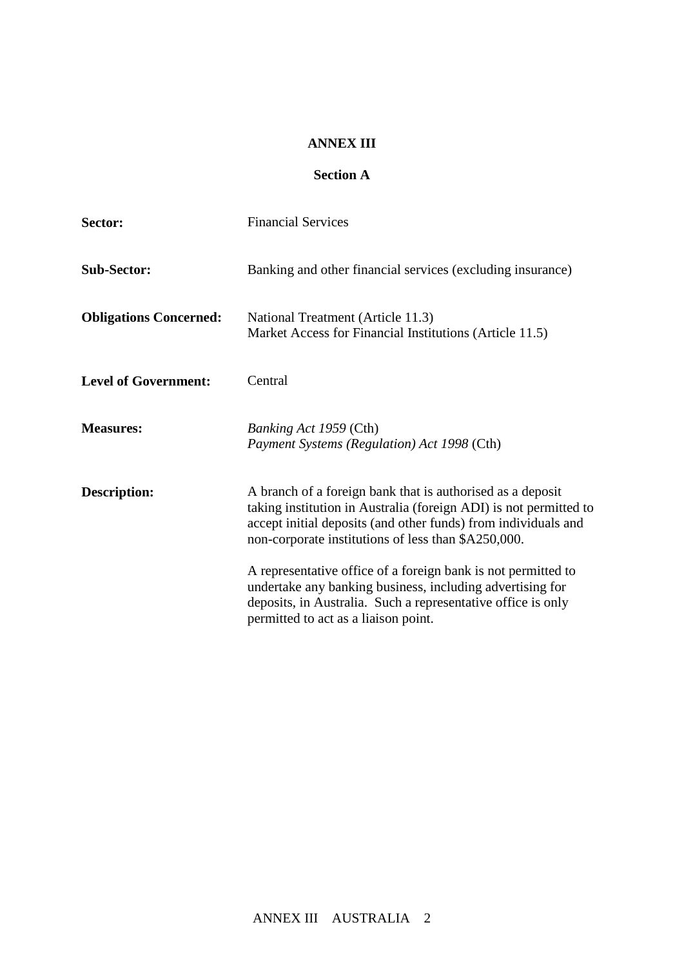#### **ANNEX III**

## **Section A**

| Sector:                       | <b>Financial Services</b>                                                                                                                                                                                                                                |
|-------------------------------|----------------------------------------------------------------------------------------------------------------------------------------------------------------------------------------------------------------------------------------------------------|
| <b>Sub-Sector:</b>            | Banking and other financial services (excluding insurance)                                                                                                                                                                                               |
| <b>Obligations Concerned:</b> | National Treatment (Article 11.3)<br>Market Access for Financial Institutions (Article 11.5)                                                                                                                                                             |
| <b>Level of Government:</b>   | Central                                                                                                                                                                                                                                                  |
| <b>Measures:</b>              | <i>Banking Act 1959</i> (Cth)<br>Payment Systems (Regulation) Act 1998 (Cth)                                                                                                                                                                             |
| Description:                  | A branch of a foreign bank that is authorised as a deposit<br>taking institution in Australia (foreign ADI) is not permitted to<br>accept initial deposits (and other funds) from individuals and<br>non-corporate institutions of less than \$A250,000. |
|                               | A representative office of a foreign bank is not permitted to<br>undertake any banking business, including advertising for<br>deposits, in Australia. Such a representative office is only<br>permitted to act as a liaison point.                       |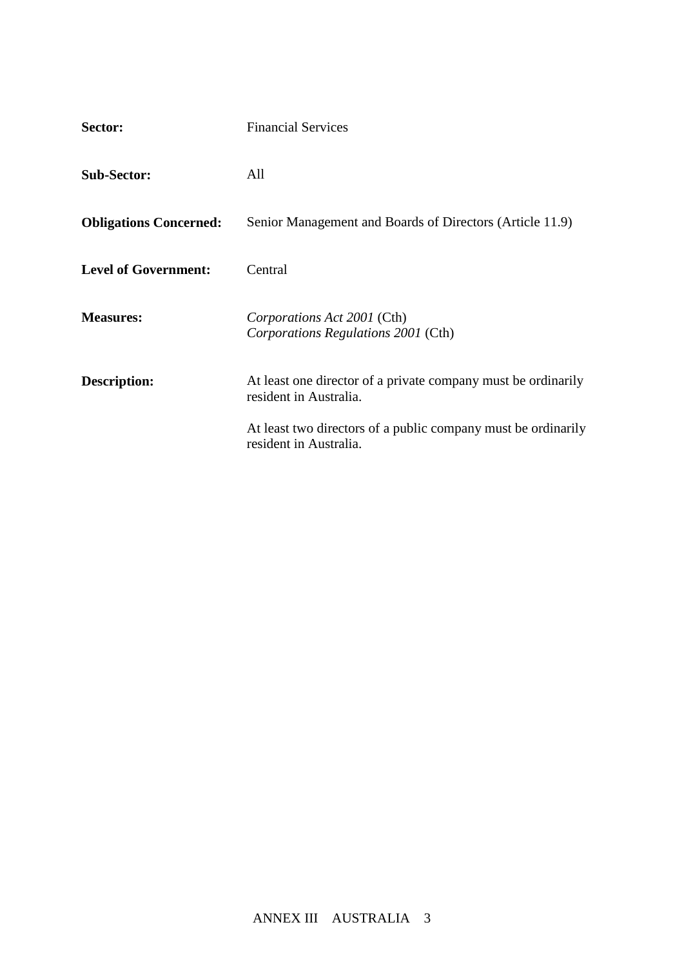| Sector:                       | <b>Financial Services</b>                                                               |
|-------------------------------|-----------------------------------------------------------------------------------------|
| <b>Sub-Sector:</b>            | All                                                                                     |
| <b>Obligations Concerned:</b> | Senior Management and Boards of Directors (Article 11.9)                                |
| <b>Level of Government:</b>   | Central                                                                                 |
| <b>Measures:</b>              | Corporations Act 2001 (Cth)<br>Corporations Regulations 2001 (Cth)                      |
| <b>Description:</b>           | At least one director of a private company must be ordinarily<br>resident in Australia. |
|                               | At least two directors of a public company must be ordinarily<br>resident in Australia. |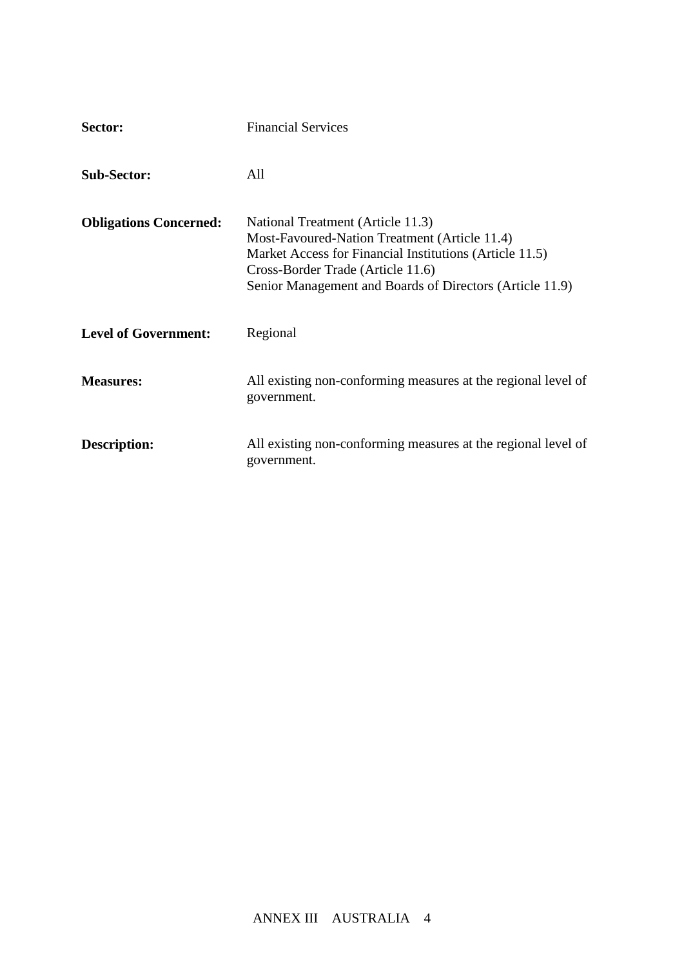| Sector:                       | <b>Financial Services</b>                                                                                                                                                                                                                      |
|-------------------------------|------------------------------------------------------------------------------------------------------------------------------------------------------------------------------------------------------------------------------------------------|
| <b>Sub-Sector:</b>            | All                                                                                                                                                                                                                                            |
| <b>Obligations Concerned:</b> | National Treatment (Article 11.3)<br>Most-Favoured-Nation Treatment (Article 11.4)<br>Market Access for Financial Institutions (Article 11.5)<br>Cross-Border Trade (Article 11.6)<br>Senior Management and Boards of Directors (Article 11.9) |
| <b>Level of Government:</b>   | Regional                                                                                                                                                                                                                                       |
| <b>Measures:</b>              | All existing non-conforming measures at the regional level of<br>government.                                                                                                                                                                   |
| Description:                  | All existing non-conforming measures at the regional level of<br>government.                                                                                                                                                                   |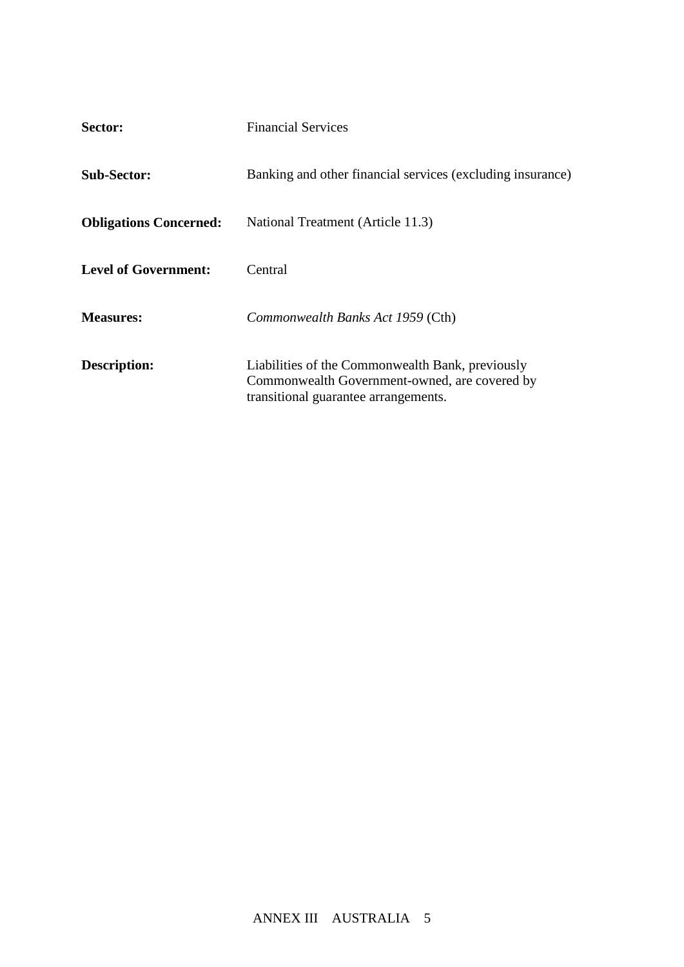| Sector:                       | <b>Financial Services</b>                                                                                                                 |
|-------------------------------|-------------------------------------------------------------------------------------------------------------------------------------------|
| <b>Sub-Sector:</b>            | Banking and other financial services (excluding insurance)                                                                                |
| <b>Obligations Concerned:</b> | National Treatment (Article 11.3)                                                                                                         |
| <b>Level of Government:</b>   | Central                                                                                                                                   |
| <b>Measures:</b>              | Commonwealth Banks Act 1959 (Cth)                                                                                                         |
| Description:                  | Liabilities of the Commonwealth Bank, previously<br>Commonwealth Government-owned, are covered by<br>transitional guarantee arrangements. |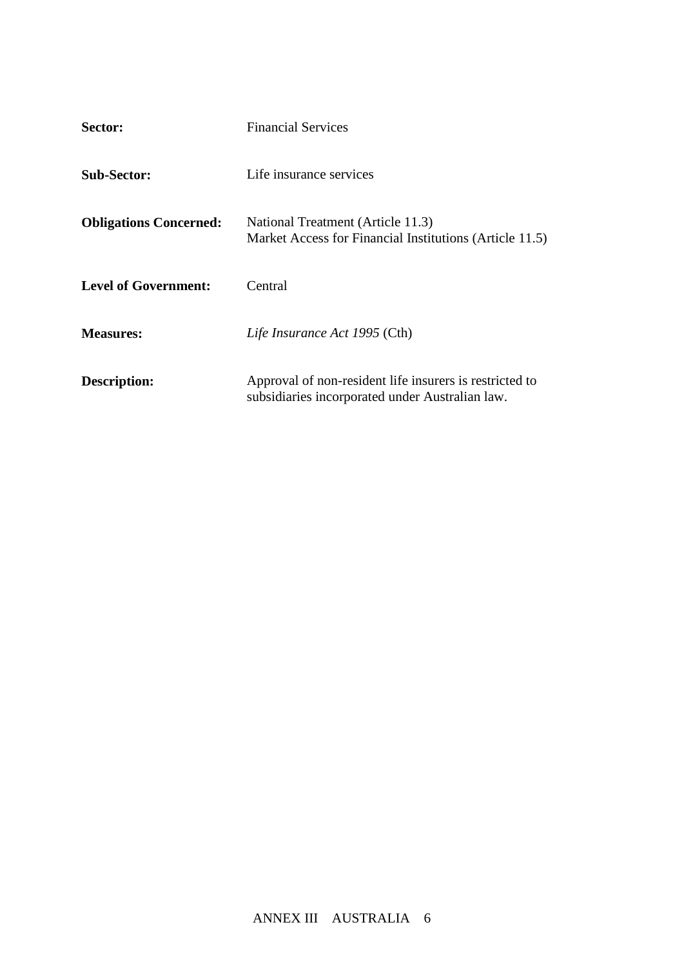| Sector:                       | <b>Financial Services</b>                                                                                  |
|-------------------------------|------------------------------------------------------------------------------------------------------------|
| <b>Sub-Sector:</b>            | Life insurance services                                                                                    |
| <b>Obligations Concerned:</b> | National Treatment (Article 11.3)<br>Market Access for Financial Institutions (Article 11.5)               |
| <b>Level of Government:</b>   | Central                                                                                                    |
| <b>Measures:</b>              | Life Insurance Act 1995 (Cth)                                                                              |
| Description:                  | Approval of non-resident life insurers is restricted to<br>subsidiaries incorporated under Australian law. |